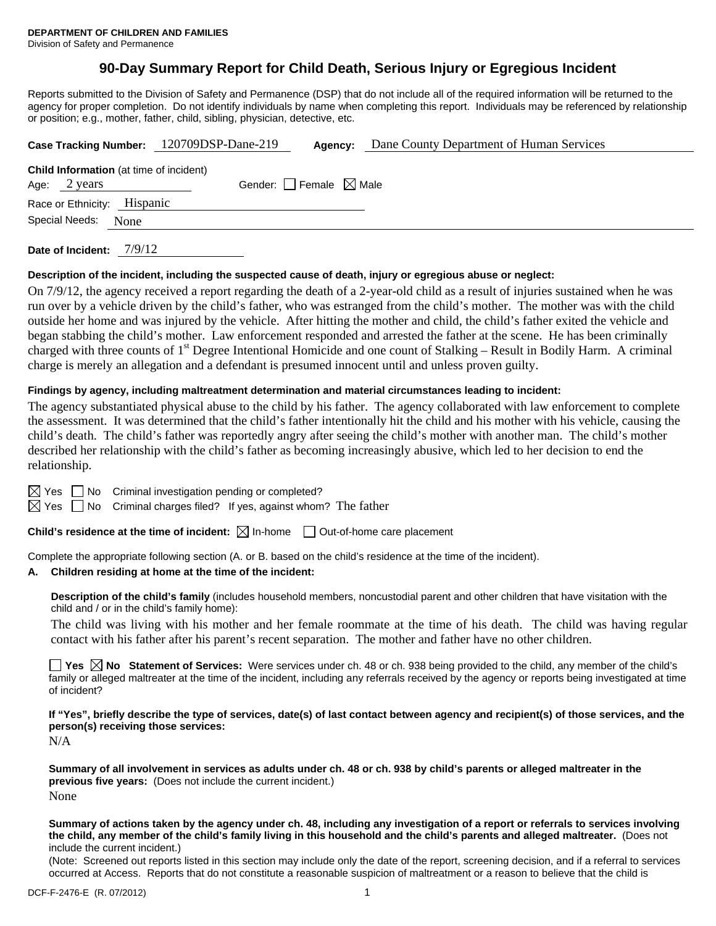# **90-Day Summary Report for Child Death, Serious Injury or Egregious Incident**

Reports submitted to the Division of Safety and Permanence (DSP) that do not include all of the required information will be returned to the agency for proper completion. Do not identify individuals by name when completing this report. Individuals may be referenced by relationship or position; e.g., mother, father, child, sibling, physician, detective, etc.

|                                                                | Case Tracking Number: 120709DSP-Dane-219<br>Dane County Department of Human Services<br>Agency: |  |
|----------------------------------------------------------------|-------------------------------------------------------------------------------------------------|--|
| <b>Child Information</b> (at time of incident)<br>Age: 2 years | Gender: Female $\boxtimes$ Male                                                                 |  |
| Race or Ethnicity: Hispanic                                    |                                                                                                 |  |
| Special Needs:                                                 | None                                                                                            |  |

**Date of Incident:** 7/9/12

#### **Description of the incident, including the suspected cause of death, injury or egregious abuse or neglect:**

On 7/9/12, the agency received a report regarding the death of a 2-year-old child as a result of injuries sustained when he was run over by a vehicle driven by the child's father, who was estranged from the child's mother. The mother was with the child outside her home and was injured by the vehicle. After hitting the mother and child, the child's father exited the vehicle and began stabbing the child's mother. Law enforcement responded and arrested the father at the scene. He has been criminally charged with three counts of  $1<sup>st</sup>$  Degree Intentional Homicide and one count of Stalking – Result in Bodily Harm. A criminal charge is merely an allegation and a defendant is presumed innocent until and unless proven guilty.

## **Findings by agency, including maltreatment determination and material circumstances leading to incident:**

The agency substantiated physical abuse to the child by his father. The agency collaborated with law enforcement to complete the assessment. It was determined that the child's father intentionally hit the child and his mother with his vehicle, causing the child's death. The child's father was reportedly angry after seeing the child's mother with another man. The child's mother described her relationship with the child's father as becoming increasingly abusive, which led to her decision to end the relationship.

 $\boxtimes$  Yes  $\Box$  No Criminal investigation pending or completed?

 $\boxtimes$  Yes  $\Box$  No Criminal charges filed? If yes, against whom? The father

**Child's residence at the time of incident:**  $\boxtimes$  In-home  $\Box$  Out-of-home care placement

Complete the appropriate following section (A. or B. based on the child's residence at the time of the incident).

## **A. Children residing at home at the time of the incident:**

**Description of the child's family** (includes household members, noncustodial parent and other children that have visitation with the child and / or in the child's family home):

The child was living with his mother and her female roommate at the time of his death. The child was having regular contact with his father after his parent's recent separation. The mother and father have no other children.

**Yes No Statement of Services:** Were services under ch. 48 or ch. 938 being provided to the child, any member of the child's family or alleged maltreater at the time of the incident, including any referrals received by the agency or reports being investigated at time of incident?

**If "Yes", briefly describe the type of services, date(s) of last contact between agency and recipient(s) of those services, and the person(s) receiving those services:** 

N/A

**Summary of all involvement in services as adults under ch. 48 or ch. 938 by child's parents or alleged maltreater in the previous five years:** (Does not include the current incident.) None

**Summary of actions taken by the agency under ch. 48, including any investigation of a report or referrals to services involving the child, any member of the child's family living in this household and the child's parents and alleged maltreater.** (Does not include the current incident.)

(Note: Screened out reports listed in this section may include only the date of the report, screening decision, and if a referral to services occurred at Access. Reports that do not constitute a reasonable suspicion of maltreatment or a reason to believe that the child is